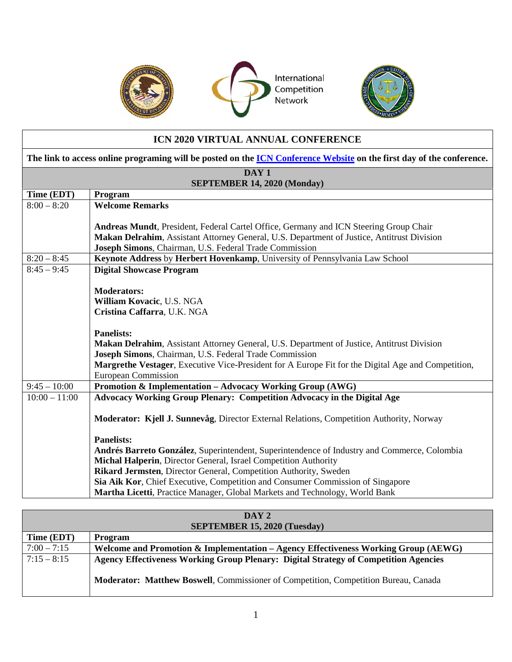

International Competition Network



## **ICN 2020 VIRTUAL ANNUAL CONFERENCE The link to access online programing will be posted on the [ICN Conference Website](https://www.internationalcompetitionnetwork.org/2020vac/) on the first day of the conference. DAY 1 SEPTEMBER 14, 2020 (Monday) Time (EDT) Program** 8:00 – 8:20 **Welcome Remarks Andreas Mundt**, President, Federal Cartel Office, Germany and ICN Steering Group Chair **Makan Delrahim**, Assistant Attorney General, U.S. Department of Justice, Antitrust Division **Joseph Simons**, Chairman, U.S. Federal Trade Commission 8:20 – 8:45 **Keynote Address** by **Herbert Hovenkamp**, University of Pennsylvania Law School 8:45 – 9:45 **Digital Showcase Program Moderators: William Kovacic**, U.S. NGA **Cristina Caffarra**, U.K. NGA **Panelists: Makan Delrahim**, Assistant Attorney General, U.S. Department of Justice, Antitrust Division **Joseph Simons**, Chairman, U.S. Federal Trade Commission **Margrethe Vestager**, Executive Vice-President for A Europe Fit for the Digital Age and Competition, European Commission 9:45 – 10:00 **Promotion & Implementation – Advocacy Working Group (AWG)** 10:00 – 11:00 **Advocacy Working Group Plenary: Competition Advocacy in the Digital Age Moderator: Kjell J. Sunnevåg**, Director External Relations, Competition Authority, Norway **Panelists: Andrés Barreto González**, Superintendent, Superintendence of Industry and Commerce, Colombia **Michal Halperin**, Director General, Israel Competition Authority **Rikard Jermsten**, Director General, Competition Authority, Sweden **Sia Aik Kor**, Chief Executive, Competition and Consumer Commission of Singapore **Martha Licetti**, Practice Manager, Global Markets and Technology, World Bank

| DAY 2                               |                                                                                      |  |  |  |
|-------------------------------------|--------------------------------------------------------------------------------------|--|--|--|
| <b>SEPTEMBER 15, 2020 (Tuesday)</b> |                                                                                      |  |  |  |
| Time (EDT)                          | <b>Program</b>                                                                       |  |  |  |
| $7:00 - 7:15$                       | Welcome and Promotion & Implementation – Agency Effectiveness Working Group (AEWG)   |  |  |  |
| $7:15 - 8:15$                       | Agency Effectiveness Working Group Plenary: Digital Strategy of Competition Agencies |  |  |  |
|                                     | Moderator: Matthew Boswell, Commissioner of Competition, Competition Bureau, Canada  |  |  |  |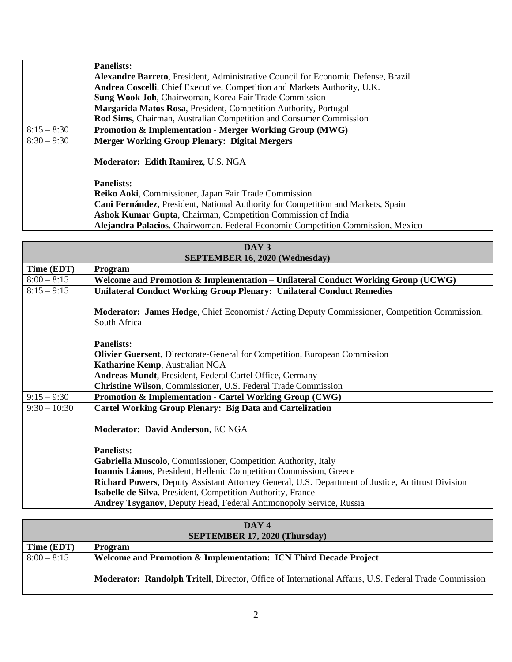|               | <b>Panelists:</b>                                                                        |  |  |  |
|---------------|------------------------------------------------------------------------------------------|--|--|--|
|               | <b>Alexandre Barreto, President, Administrative Council for Economic Defense, Brazil</b> |  |  |  |
|               | Andrea Coscelli, Chief Executive, Competition and Markets Authority, U.K.                |  |  |  |
|               | Sung Wook Joh, Chairwoman, Korea Fair Trade Commission                                   |  |  |  |
|               | Margarida Matos Rosa, President, Competition Authority, Portugal                         |  |  |  |
|               | Rod Sims, Chairman, Australian Competition and Consumer Commission                       |  |  |  |
| $8:15 - 8:30$ | Promotion & Implementation - Merger Working Group (MWG)                                  |  |  |  |
| $8:30 - 9:30$ | <b>Merger Working Group Plenary: Digital Mergers</b>                                     |  |  |  |
|               | Moderator: Edith Ramirez, U.S. NGA                                                       |  |  |  |
|               | <b>Panelists:</b>                                                                        |  |  |  |
|               | Reiko Aoki, Commissioner, Japan Fair Trade Commission                                    |  |  |  |
|               | Cani Fernández, President, National Authority for Competition and Markets, Spain         |  |  |  |
|               | Ashok Kumar Gupta, Chairman, Competition Commission of India                             |  |  |  |
|               | Alejandra Palacios, Chairwoman, Federal Economic Competition Commission, Mexico          |  |  |  |

| DAY 3                                 |                                                                                                                      |  |  |  |
|---------------------------------------|----------------------------------------------------------------------------------------------------------------------|--|--|--|
| <b>SEPTEMBER 16, 2020 (Wednesday)</b> |                                                                                                                      |  |  |  |
| Time (EDT)                            | Program                                                                                                              |  |  |  |
| $8:00 - 8:15$                         | Welcome and Promotion & Implementation – Unilateral Conduct Working Group (UCWG)                                     |  |  |  |
| $8:15 - 9:15$                         | <b>Unilateral Conduct Working Group Plenary: Unilateral Conduct Remedies</b>                                         |  |  |  |
|                                       | <b>Moderator: James Hodge, Chief Economist / Acting Deputy Commissioner, Competition Commission,</b><br>South Africa |  |  |  |
|                                       | <b>Panelists:</b>                                                                                                    |  |  |  |
|                                       | <b>Olivier Guersent</b> , Directorate-General for Competition, European Commission                                   |  |  |  |
|                                       | Katharine Kemp, Australian NGA                                                                                       |  |  |  |
|                                       | <b>Andreas Mundt</b> , President, Federal Cartel Office, Germany                                                     |  |  |  |
|                                       | Christine Wilson, Commissioner, U.S. Federal Trade Commission                                                        |  |  |  |
| $9:15 - 9:30$                         | <b>Promotion &amp; Implementation - Cartel Working Group (CWG)</b>                                                   |  |  |  |
| $9:30 - 10:30$                        | <b>Cartel Working Group Plenary: Big Data and Cartelization</b>                                                      |  |  |  |
|                                       | Moderator: David Anderson, EC NGA                                                                                    |  |  |  |
|                                       | <b>Panelists:</b>                                                                                                    |  |  |  |
|                                       | Gabriella Muscolo, Commissioner, Competition Authority, Italy                                                        |  |  |  |
|                                       | Ioannis Lianos, President, Hellenic Competition Commission, Greece                                                   |  |  |  |
|                                       | Richard Powers, Deputy Assistant Attorney General, U.S. Department of Justice, Antitrust Division                    |  |  |  |
|                                       | Isabelle de Silva, President, Competition Authority, France                                                          |  |  |  |
|                                       | <b>Andrey Tsyganov</b> , Deputy Head, Federal Antimonopoly Service, Russia                                           |  |  |  |

| DAY 4                                |                                                                                                              |  |  |  |
|--------------------------------------|--------------------------------------------------------------------------------------------------------------|--|--|--|
| <b>SEPTEMBER 17, 2020 (Thursday)</b> |                                                                                                              |  |  |  |
| Time (EDT)                           | Program                                                                                                      |  |  |  |
| $8:00 - 8:15$                        | Welcome and Promotion & Implementation: ICN Third Decade Project                                             |  |  |  |
|                                      | <b>Moderator: Randolph Tritell, Director, Office of International Affairs, U.S. Federal Trade Commission</b> |  |  |  |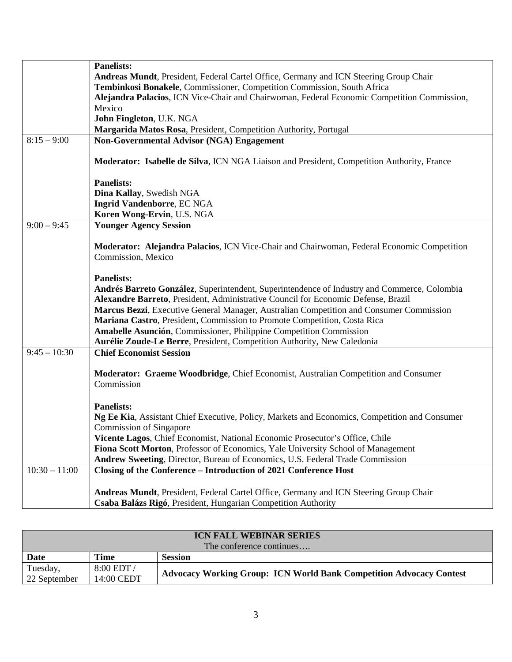|                 | <b>Panelists:</b>                                                                             |
|-----------------|-----------------------------------------------------------------------------------------------|
|                 | Andreas Mundt, President, Federal Cartel Office, Germany and ICN Steering Group Chair         |
|                 | Tembinkosi Bonakele, Commissioner, Competition Commission, South Africa                       |
|                 | Alejandra Palacios, ICN Vice-Chair and Chairwoman, Federal Economic Competition Commission,   |
|                 | Mexico                                                                                        |
|                 |                                                                                               |
|                 | John Fingleton, U.K. NGA                                                                      |
|                 | Margarida Matos Rosa, President, Competition Authority, Portugal                              |
| $8:15 - 9:00$   | <b>Non-Governmental Advisor (NGA) Engagement</b>                                              |
|                 |                                                                                               |
|                 | Moderator: Isabelle de Silva, ICN NGA Liaison and President, Competition Authority, France    |
|                 |                                                                                               |
|                 | <b>Panelists:</b>                                                                             |
|                 |                                                                                               |
|                 | Dina Kallay, Swedish NGA                                                                      |
|                 | Ingrid Vandenborre, EC NGA                                                                    |
|                 | Koren Wong-Ervin, U.S. NGA                                                                    |
| $9:00 - 9:45$   | <b>Younger Agency Session</b>                                                                 |
|                 |                                                                                               |
|                 | Moderator: Alejandra Palacios, ICN Vice-Chair and Chairwoman, Federal Economic Competition    |
|                 |                                                                                               |
|                 | Commission, Mexico                                                                            |
|                 |                                                                                               |
|                 | <b>Panelists:</b>                                                                             |
|                 | Andrés Barreto González, Superintendent, Superintendence of Industry and Commerce, Colombia   |
|                 | Alexandre Barreto, President, Administrative Council for Economic Defense, Brazil             |
|                 | Marcus Bezzi, Executive General Manager, Australian Competition and Consumer Commission       |
|                 | Mariana Castro, President, Commission to Promote Competition, Costa Rica                      |
|                 |                                                                                               |
|                 | Amabelle Asunción, Commissioner, Philippine Competition Commission                            |
|                 | Aurélie Zoude-Le Berre, President, Competition Authority, New Caledonia                       |
| $9:45 - 10:30$  | <b>Chief Economist Session</b>                                                                |
|                 |                                                                                               |
|                 | Moderator: Graeme Woodbridge, Chief Economist, Australian Competition and Consumer            |
|                 | Commission                                                                                    |
|                 |                                                                                               |
|                 |                                                                                               |
|                 | <b>Panelists:</b>                                                                             |
|                 | Ng Ee Kia, Assistant Chief Executive, Policy, Markets and Economics, Competition and Consumer |
|                 | <b>Commission of Singapore</b>                                                                |
|                 | Vicente Lagos, Chief Economist, National Economic Prosecutor's Office, Chile                  |
|                 | Fiona Scott Morton, Professor of Economics, Yale University School of Management              |
|                 | Andrew Sweeting, Director, Bureau of Economics, U.S. Federal Trade Commission                 |
| $10:30 - 11:00$ |                                                                                               |
|                 | Closing of the Conference - Introduction of 2021 Conference Host                              |
|                 |                                                                                               |
|                 | Andreas Mundt, President, Federal Cartel Office, Germany and ICN Steering Group Chair         |
|                 | Csaba Balázs Rigó, President, Hungarian Competition Authority                                 |

| <b>ICN FALL WEBINAR SERIES</b><br>The conference continues |            |                                                                     |  |  |
|------------------------------------------------------------|------------|---------------------------------------------------------------------|--|--|
|                                                            |            |                                                                     |  |  |
| Date                                                       | Time       | <b>Session</b>                                                      |  |  |
| Tuesday,                                                   | 8:00 EDT / | Advocacy Working Group: ICN World Bank Competition Advocacy Contest |  |  |
| 22 September                                               | 14:00 CEDT |                                                                     |  |  |